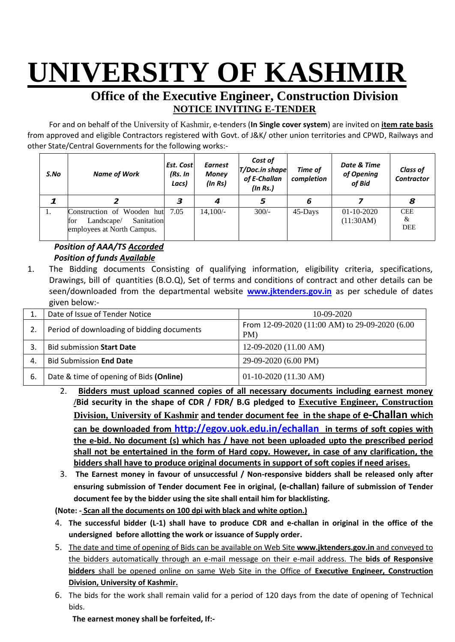## **UNIVERSITY OF KASHMIR**

## **Office of the Executive Engineer, Construction Division NOTICE INVITING E-TENDER**

For and on behalf of the University of Kashmir, e-tenders (**In Single cover system**) are invited on **item rate basis** from approved and eligible Contractors registered with Govt. of J&K/ other union territories and CPWD, Railways and other State/Central Governments for the following works:-

| S.No | <b>Name of Work</b>                                                                         | Est. Cost<br>(Rs. In<br>Lacs) | <b>Earnest</b><br><b>Money</b><br>(ln Rs) | Cost of<br><b>T/Doc.in shape</b><br>of E-Challan<br>(ln Rs.) | Time of<br>completion | Date & Time<br>of Opening<br>of Bid | <b>Class of</b><br><b>Contractor</b> |
|------|---------------------------------------------------------------------------------------------|-------------------------------|-------------------------------------------|--------------------------------------------------------------|-----------------------|-------------------------------------|--------------------------------------|
|      |                                                                                             | З                             | 4                                         | 5                                                            | 6                     |                                     | 8                                    |
| 1.   | Construction of Wooden hut<br>for<br>Sanitation<br>Landscape/<br>employees at North Campus. | 7.05                          | $14.100/-$                                | $300/-$                                                      | 45-Days               | $01-10-2020$<br>(11:30AM)           | <b>CEE</b><br>&<br><b>DEE</b>        |

## *Position of AAA/TS Accorded Position of funds Available*

1. The Bidding documents Consisting of qualifying information, eligibility criteria, specifications, Drawings, bill of quantities (B.O.Q), Set of terms and conditions of contract and other details can be seen/downloaded from the departmental website **[w](http://www.pmgsytendersjk.gov.in/)ww.jktenders.gov.in** as per schedule of dates given below:-

|     | Date of Issue of Tender Notice             | $10-09-2020$                                          |
|-----|--------------------------------------------|-------------------------------------------------------|
|     | Period of downloading of bidding documents | From 12-09-2020 (11:00 AM) to 29-09-2020 (6.00<br>PM) |
|     | Bid submission Start Date                  | $12-09-2020(11.00 AM)$                                |
| 4.  | <b>Bid Submission End Date</b>             | 29-09-2020 (6.00 PM)                                  |
| -6. | Date & time of opening of Bids (Online)    | $01-10-2020$ (11.30 AM)                               |

- 2. **Bidders must upload scanned copies of all necessary documents including earnest money /Bid security in the shape of CDR / FDR/ B.G pledged to Executive Engineer, Construction Division, University of Kashmir and tender document fee in the shape of e-Challan which can be downloaded from <http://egov.uok.edu.in/echallan> in terms of soft copies with the e-bid. No document (s) which has / have not been uploaded upto the prescribed period shall not be entertained in the form of Hard copy. However, in case of any clarification, the bidders shall have to produce original documents in support of soft copies if need arises.**
- 3. **The Earnest money in favour of unsuccessful / Non-responsive bidders shall be released only after ensuring submission of Tender document Fee in original, (e-challan) failure of submission of Tender document fee by the bidder using the site shall entail him for blacklisting.**

**(Note: - Scan all the documents on 100 dpi with black and white option.)**

- 4. **The successful bidder (L-1) shall have to produce CDR and e-challan in original in the office of the undersigned before allotting the work or issuance of Supply order.**
- 5. The date and time of opening of Bids can be available on Web Site **[www.jktenders.gov.in](http://www.pmgsytendersjk.gov.in/)** and conveyed to the bidders automatically through an e-mail message on their e-mail address. The **bids of Responsive bidders** shall be opened online on same Web Site in the Office of **Executive Engineer, Construction Division, University of Kashmir.**
- 6. The bids for the work shall remain valid for a period of 120 days from the date of opening of Technical bids.

**The earnest money shall be forfeited, If:-**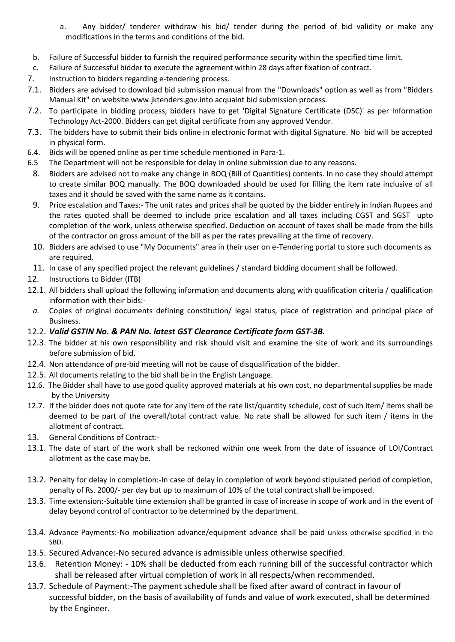- a. Any bidder/ tenderer withdraw his bid/ tender during the period of bid validity or make any modifications in the terms and conditions of the bid.
- b. Failure of Successful bidder to furnish the required performance security within the specified time limit.
- c. Failure of Successful bidder to execute the agreement within 28 days after fixation of contract.
- 7. Instruction to bidders regarding e-tendering process.
- 7.1. Bidders are advised to download bid submission manual from the "Downloads" option as well as from "Bidders Manual Kit" on website [www.jktenders.gov.into](http://www.pmgsytendersjk.gov.into/) acquaint bid submission process.
- 7.2. To participate in bidding process, bidders have to get 'Digital Signature Certificate (DSC)' as per Information Technology Act-2000. Bidders can get digital certificate from any approved Vendor.
- 7.3. The bidders have to submit their bids online in electronic format with digital Signature. No bid will be accepted in physical form.
- 6.4. Bids will be opened online as per time schedule mentioned in Para-1.
- 6.5 The Department will not be responsible for delay in online submission due to any reasons.
- 8. Bidders are advised not to make any change in BOQ (Bill of Quantities) contents. In no case they should attempt to create similar BOQ manually. The BOQ downloaded should be used for filling the item rate inclusive of all taxes and it should be saved with the same name as it contains.
- 9. Price escalation and Taxes:- The unit rates and prices shall be quoted by the bidder entirely in Indian Rupees and the rates quoted shall be deemed to include price escalation and all taxes including CGST and SGST upto completion of the work, unless otherwise specified. Deduction on account of taxes shall be made from the bills of the contractor on gross amount of the bill as per the rates prevailing at the time of recovery.
- 10. Bidders are advised to use "My Documents" area in their user on e-Tendering portal to store such documents as are required.
- 11. In case of any specified project the relevant guidelines / standard bidding document shall be followed.
- 12. Instructions to Bidder (ITB)
- 12.1. All bidders shall upload the following information and documents along with qualification criteria / qualification information with their bids:-
- *a.* Copies of original documents defining constitution/ legal status, place of registration and principal place of Business.
- 12.2. *Valid GSTIN No. & PAN No. latest GST Clearance Certificate form GST-3B.*
- 12.3. The bidder at his own responsibility and risk should visit and examine the site of work and its surroundings before submission of bid.
- 12.4. Non attendance of pre-bid meeting will not be cause of disqualification of the bidder.
- 12.5. All documents relating to the bid shall be in the English Language.
- 12.6. The Bidder shall have to use good quality approved materials at his own cost, no departmental supplies be made by the University
- 12.7. If the bidder does not quote rate for any item of the rate list/quantity schedule, cost of such item/ items shall be deemed to be part of the overall/total contract value. No rate shall be allowed for such item / items in the allotment of contract.
- 13. General Conditions of Contract:-
- 13.1. The date of start of the work shall be reckoned within one week from the date of issuance of LOI/Contract allotment as the case may be.
- 13.2. Penalty for delay in completion:-In case of delay in completion of work beyond stipulated period of completion, penalty of Rs. 2000/- per day but up to maximum of 10% of the total contract shall be imposed.
- 13.3. Time extension:-Suitable time extension shall be granted in case of increase in scope of work and in the event of delay beyond control of contractor to be determined by the department.
- 13.4. Advance Payments:-No mobilization advance/equipment advance shall be paid unless otherwise specified in the SBD.
- 13.5. Secured Advance:-No secured advance is admissible unless otherwise specified.
- 13.6. Retention Money: 10% shall be deducted from each running bill of the successful contractor which shall be released after virtual completion of work in all respects/when recommended.
- 13.7. Schedule of Payment:-The payment schedule shall be fixed after award of contract in favour of successful bidder, on the basis of availability of funds and value of work executed, shall be determined by the Engineer.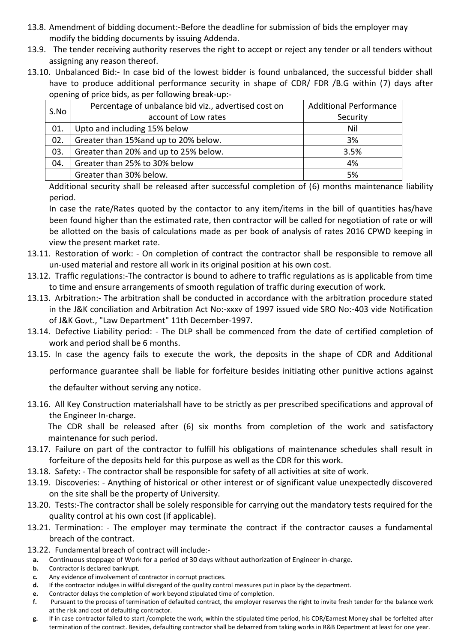- 13.8. Amendment of bidding document:-Before the deadline for submission of bids the employer may modify the bidding documents by issuing Addenda.
- 13.9. The tender receiving authority reserves the right to accept or reject any tender or all tenders without assigning any reason thereof.
- 13.10. Unbalanced Bid:- In case bid of the lowest bidder is found unbalanced, the successful bidder shall have to produce additional performance security in shape of CDR/ FDR /B.G within (7) days after opening of price bids, as per following break-up:-

| S.No | Percentage of unbalance bid viz., advertised cost on | <b>Additional Performance</b> |  |
|------|------------------------------------------------------|-------------------------------|--|
|      | account of Low rates                                 | Security                      |  |
| 01.  | Upto and including 15% below                         | Nil                           |  |
| 02.  | Greater than 15% and up to 20% below.                | 3%                            |  |
| 03.  | Greater than 20% and up to 25% below.                | 3.5%                          |  |
| 04.  | Greater than 25% to 30% below                        | 4%                            |  |
|      | Greater than 30% below.                              | 5%                            |  |

Additional security shall be released after successful completion of (6) months maintenance liability period.

In case the rate/Rates quoted by the contactor to any item/items in the bill of quantities has/have been found higher than the estimated rate, then contractor will be called for negotiation of rate or will be allotted on the basis of calculations made as per book of analysis of rates 2016 CPWD keeping in view the present market rate.

- 13.11. Restoration of work: On completion of contract the contractor shall be responsible to remove all un-used material and restore all work in its original position at his own cost.
- 13.12. Traffic regulations:-The contractor is bound to adhere to traffic regulations as is applicable from time to time and ensure arrangements of smooth regulation of traffic during execution of work.
- 13.13. Arbitration:- The arbitration shall be conducted in accordance with the arbitration procedure stated in the J&K conciliation and Arbitration Act No:-xxxv of 1997 issued vide SRO No:-403 vide Notification of J&K Govt., "Law Department" 11th December-1997.
- 13.14. Defective Liability period: The DLP shall be commenced from the date of certified completion of work and period shall be 6 months.
- 13.15. In case the agency fails to execute the work, the deposits in the shape of CDR and Additional

performance guarantee shall be liable for forfeiture besides initiating other punitive actions against

the defaulter without serving any notice.

13.16. All Key Construction materialshall have to be strictly as per prescribed specifications and approval of the Engineer In-charge.

The CDR shall be released after (6) six months from completion of the work and satisfactory maintenance for such period.

- 13.17. Failure on part of the contractor to fulfill his obligations of maintenance schedules shall result in forfeiture of the deposits held for this purpose as well as the CDR for this work.
- 13.18. Safety: The contractor shall be responsible for safety of all activities at site of work.
- 13.19. Discoveries: Anything of historical or other interest or of significant value unexpectedly discovered on the site shall be the property of University.
- 13.20. Tests:-The contractor shall be solely responsible for carrying out the mandatory tests required for the quality control at his own cost (if applicable).
- 13.21. Termination: The employer may terminate the contract if the contractor causes a fundamental breach of the contract.
- 13.22. Fundamental breach of contract will include:
	- **a.** Continuous stoppage of Work for a period of 30 days without authorization of Engineer in-charge.
	- **b.** Contractor is declared bankrupt.
	- **c.** Any evidence of involvement of contractor in corrupt practices.
	- **d.** If the contractor indulges in willful disregard of the quality control measures put in place by the department.
	- **e.** Contractor delays the completion of work beyond stipulated time of completion.
	- **f.** Pursuant to the process of termination of defaulted contract, the employer reserves the right to invite fresh tender for the balance work at the risk and cost of defaulting contractor.
	- **g.** If in case contractor failed to start /complete the work, within the stipulated time period, his CDR/Earnest Money shall be forfeited after termination of the contract. Besides, defaulting contractor shall be debarred from taking works in R&B Department at least for one year.